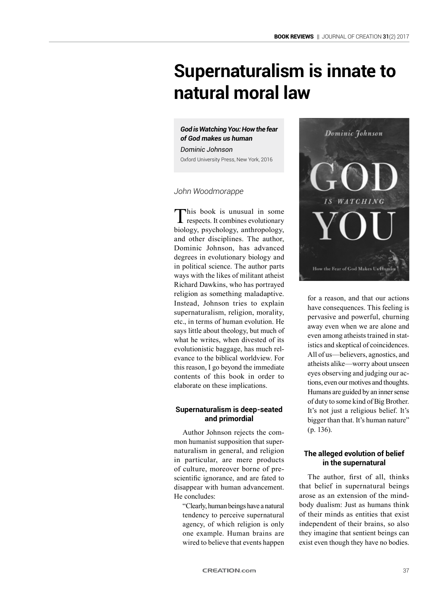# **Supernaturalism is innate to natural moral law**

## *God is Watching You: How the fear of God makes us human*

*Dominic Johnson* Oxford University Press, New York, 2016

## *John Woodmorappe*

This book is unusual in some evolutionary biology, psychology, anthropology, and other disciplines. The author, Dominic Johnson, has advanced degrees in evolutionary biology and in political science. The author parts ways with the likes of militant atheist Richard Dawkins, who has portrayed religion as something maladaptive. Instead, Johnson tries to explain supernaturalism, religion, morality, etc., in terms of human evolution. He says little about theology, but much of what he writes, when divested of its evolutionistic baggage, has much relevance to the biblical worldview. For this reason, I go beyond the immediate contents of this book in order to elaborate on these implications.

## **Supernaturalism is deep-seated and primordial**

Author Johnson rejects the common humanist supposition that supernaturalism in general, and religion in particular, are mere products of culture, moreover borne of prescientific ignorance, and are fated to disappear with human advancement. He concludes:

" Clearly, human beings have a natural tendency to perceive supernatural agency, of which religion is only one example. Human brains are wired to believe that events happen



for a reason, and that our actions have consequences. This feeling is pervasive and powerful, churning away even when we are alone and even among atheists trained in statistics and skeptical of coincidences. All of us—believers, agnostics, and atheists alike—worry about unseen eyes observing and judging our actions, even our motives and thoughts. Humans are guided by an inner sense of duty to some kind of Big Brother. It's not just a religious belief. It's bigger than that. It's human nature" (p. 136).

## **The alleged evolution of belief in the supernatural**

The author, first of all, thinks that belief in supernatural beings arose as an extension of the mindbody dualism: Just as humans think of their minds as entities that exist independent of their brains, so also they imagine that sentient beings can exist even though they have no bodies.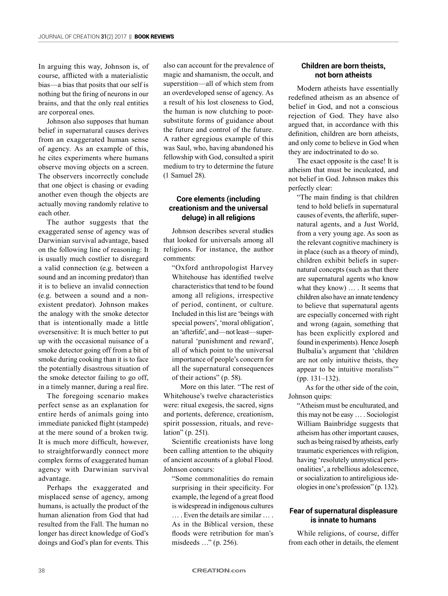In arguing this way, Johnson is, of course, afflicted with a materialistic bias—a bias that posits that our self is nothing but the firing of neurons in our brains, and that the only real entities are corporeal ones.

Johnson also supposes that human belief in supernatural causes derives from an exaggerated human sense of agency. As an example of this, he cites experiments where humans observe moving objects on a screen. The observers incorrectly conclude that one object is chasing or evading another even though the objects are actually moving randomly relative to each other.

The author suggests that the exaggerated sense of agency was of Darwinian survival advantage, based on the following line of reasoning: It is usually much costlier to disregard a valid connection (e.g. between a sound and an incoming predator) than it is to believe an invalid connection (e.g. between a sound and a nonexistent predator). Johnson makes the analogy with the smoke detector that is intentionally made a little oversensitive: It is much better to put up with the occasional nuisance of a smoke detector going off from a bit of smoke during cooking than it is to face the potentially disastrous situation of the smoke detector failing to go off, in a timely manner, during a real fire.

The foregoing scenario makes perfect sense as an explanation for entire herds of animals going into immediate panicked flight (stampede) at the mere sound of a broken twig. It is much more difficult, however, to straightforwardly connect more complex forms of exaggerated human agency with Darwinian survival advantage.

Perhaps the exaggerated and misplaced sense of agency, among humans, is actually the product of the human alienation from God that had resulted from the Fall. The human no longer has direct knowledge of God's doings and God's plan for events. This also can account for the prevalence of magic and shamanism, the occult, and superstition—all of which stem from an overdeveloped sense of agency. As a result of his lost closeness to God, the human is now clutching to poorsubstitute forms of guidance about the future and control of the future. A rather egregious example of this was Saul, who, having abandoned his fellowship with God, consulted a spirit medium to try to determine the future (1 Samuel 28).

## **Core elements (including creationism and the universal deluge) in all religions**

Johnson describes several stud**i**es that looked for universals among all religions. For instance, the author comments:

"Oxford anthropologist Harvey Whitehouse has identified twelve characteristics that tend to be found among all religions, irrespective of period, continent, or culture. Included in this list are 'beings with special powers', 'moral obligation', an 'afterlife', and—not least—supernatural 'punishment and reward', all of which point to the universal importance of people's concern for all the supernatural consequences of their actions" (p. 58).

More on this later. "The rest of Whitehouse's twelve characteristics were: ritual exegesis, the sacred, signs and portents, deference, creationism, spirit possession, rituals, and revelation" (p. 251).

Scientific creationists have long been calling attention to the ubiquity of ancient accounts of a global Flood. Johnson concurs:

"Some commonalities do remain surprising in their specificity. For example, the legend of a great flood is widespread in indigenous cultures … . Even the details are similar … . As in the Biblical version, these floods were retribution for man's misdeeds …" (p. 256).

## **Children are born theists, not born atheists**

Modern atheists have essentially redefined atheism as an absence of belief in God, and not a conscious rejection of God. They have also argued that, in accordance with this definition, children are born atheists, and only come to believe in God when they are indoctrinated to do so.

The exact opposite is the case! It is atheism that must be inculcated, and not belief in God. Johnson makes this perfectly clear:

"The main finding is that children tend to hold beliefs in supernatural causes of events, the afterlife, supernatural agents, and a Just World, from a very young age. As soon as the relevant cognitive machinery is in place (such as a theory of mind), children exhibit beliefs in supernatural concepts (such as that there are supernatural agents who know what they know) … . It seems that children also have an innate tendency to believe that supernatural agents are especially concerned with right and wrong (again, something that has been explicitly explored and found in experiments). Hence Joseph Bulbalia's argument that 'children are not only intuitive theists, they appear to be intuitive moralists'" (pp. 131–132).

As for the other side of the coin, Johnson quips:

"Atheism must be enculturated, and this may not be easy … . Sociologist William Bainbridge suggests that atheism has other important causes, such as being raised by atheists, early traumatic experiences with religion, having 'resolutely unmystical personalities', a rebellious adolescence, or socialization to antireligious ideologies in one's profession" (p. 132).

#### **Fear of supernatural displeasure is innate to humans**

While religions, of course, differ from each other in details, the element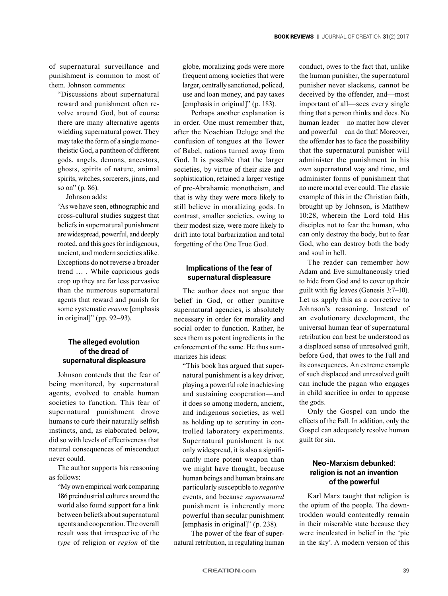of supernatural surveillance and punishment is common to most of them. Johnson comments:

"Discussions about supernatural reward and punishment often revolve around God, but of course there are many alternative agents wielding supernatural power. They may take the form of a single monotheistic God, a pantheon of different gods, angels, demons, ancestors, ghosts, spirits of nature, animal spirits, witches, sorcerers, jinns, and so on" (p. 86).

Johnson adds:

"As we have seen, ethnographic and cross-cultural studies suggest that beliefs in supernatural punishment are widespread, powerful, and deeply rooted, and this goes for indigenous, ancient, and modern societies alike. Exceptions do not reverse a broader trend … . While capricious gods crop up they are far less pervasive than the numerous supernatural agents that reward and punish for some systematic *reason* [emphasis in original]" (pp. 92–93).

## **The alleged evolution of the dread of supernatural displeasure**

Johnson contends that the fear of being monitored, by supernatural agents, evolved to enable human societies to function. This fear of supernatural punishment drove humans to curb their naturally selfish instincts, and, as elaborated below, did so with levels of effectiveness that natural consequences of misconduct never could.

The author supports his reasoning as follows:

"My own empirical work comparing 186 preindustrial cultures around the world also found support for a link between beliefs about supernatural agents and cooperation. The overall result was that irrespective of the *type* of religion or *region* of the globe, moralizing gods were more frequent among societies that were larger, centrally sanctioned, policed, use and loan money, and pay taxes [emphasis in original]" (p. 183).

Perhaps another explanation is in order. One must remember that, after the Noachian Deluge and the confusion of tongues at the Tower of Babel, nations turned away from God. It is possible that the larger societies, by virtue of their size and sophistication, retained a larger vestige of pre-Abrahamic monotheism, and that is why they were more likely to still believe in moralizing gods. In contrast, smaller societies, owing to their modest size, were more likely to drift into total barbarization and total forgetting of the One True God.

## **Implications of the fear of supernatural displeasure**

The author does not argue that belief in God, or other punitive supernatural agencies, is absolutely necessary in order for morality and social order to function. Rather, he sees them as potent ingredients in the enforcement of the same. He thus summarizes his ideas:

"This book has argued that supernatural punishment is a key driver, playing a powerful role in achieving and sustaining cooperation—and it does so among modern, ancient, and indigenous societies, as well as holding up to scrutiny in controlled laboratory experiments. Supernatural punishment is not only widespread, it is also a significantly more potent weapon than we might have thought, because human beings and human brains are particularly susceptible to *negative* events, and because *supernatural* punishment is inherently more powerful than secular punishment [emphasis in original]" (p. 238).

The power of the fear of supernatural retribution, in regulating human conduct, owes to the fact that, unlike the human punisher, the supernatural punisher never slackens, cannot be deceived by the offender, and—most important of all—sees every single thing that a person thinks and does. No human leader—no matter how clever and powerful—can do that! Moreover, the offender has to face the possibility that the supernatural punisher will administer the punishment in his own supernatural way and time, and administer forms of punishment that no mere mortal ever could. The classic example of this in the Christian faith, brought up by Johnson, is Matthew 10:28, wherein the Lord told His disciples not to fear the human, who can only destroy the body, but to fear God, who can destroy both the body and soul in hell.

The reader can remember how Adam and Eve simultaneously tried to hide from God and to cover up their guilt with fig leaves (Genesis 3:7–10). Let us apply this as a corrective to Johnson's reasoning. Instead of an evolutionary development, the universal human fear of supernatural retribution can best be understood as a displaced sense of unresolved guilt, before God, that owes to the Fall and its consequences. An extreme example of such displaced and unresolved guilt can include the pagan who engages in child sacrifice in order to appease the gods.

Only the Gospel can undo the effects of the Fall. In addition, only the Gospel can adequately resolve human guilt for sin.

## **Neo-Marxism debunked: religion is not an invention of the powerful**

Karl Marx taught that religion is the opium of the people. The downtrodden would contentedly remain in their miserable state because they were inculcated in belief in the 'pie in the sky'. A modern version of this